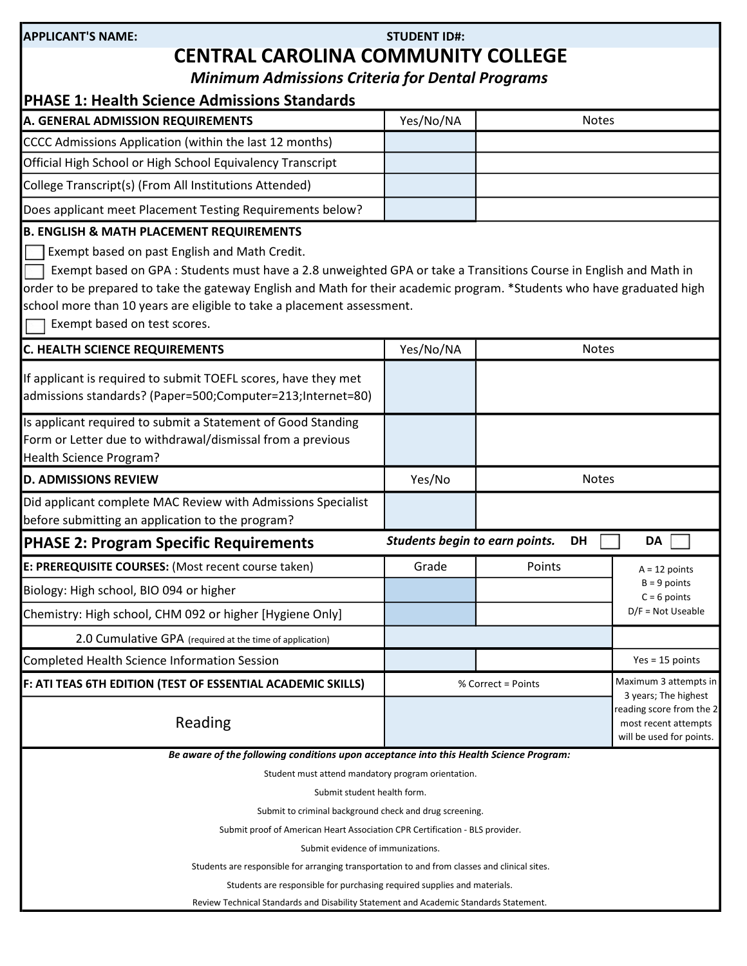| APPLICANT'S NAME: |  |
|-------------------|--|
|                   |  |

## STUDENT ID#: CENTRAL CAROLINA COMMUNITY COLLEGE

Minimum Admissions Criteria for Dental Programs

| <b>PHASE 1: Health Science Admissions Standards</b>                                                                                                                                                                                                                                                                                                                                                                                                            |                                |                    |                                                                                                      |
|----------------------------------------------------------------------------------------------------------------------------------------------------------------------------------------------------------------------------------------------------------------------------------------------------------------------------------------------------------------------------------------------------------------------------------------------------------------|--------------------------------|--------------------|------------------------------------------------------------------------------------------------------|
| A. GENERAL ADMISSION REQUIREMENTS                                                                                                                                                                                                                                                                                                                                                                                                                              | Yes/No/NA                      | <b>Notes</b>       |                                                                                                      |
| CCCC Admissions Application (within the last 12 months)                                                                                                                                                                                                                                                                                                                                                                                                        |                                |                    |                                                                                                      |
| Official High School or High School Equivalency Transcript                                                                                                                                                                                                                                                                                                                                                                                                     |                                |                    |                                                                                                      |
| College Transcript(s) (From All Institutions Attended)                                                                                                                                                                                                                                                                                                                                                                                                         |                                |                    |                                                                                                      |
| Does applicant meet Placement Testing Requirements below?                                                                                                                                                                                                                                                                                                                                                                                                      |                                |                    |                                                                                                      |
| <b>B. ENGLISH &amp; MATH PLACEMENT REQUIREMENTS</b><br>Exempt based on past English and Math Credit.<br>Exempt based on GPA : Students must have a 2.8 unweighted GPA or take a Transitions Course in English and Math in<br>order to be prepared to take the gateway English and Math for their academic program. *Students who have graduated high<br>school more than 10 years are eligible to take a placement assessment.<br>Exempt based on test scores. |                                |                    |                                                                                                      |
| <b>C. HEALTH SCIENCE REQUIREMENTS</b>                                                                                                                                                                                                                                                                                                                                                                                                                          | Yes/No/NA                      | <b>Notes</b>       |                                                                                                      |
| If applicant is required to submit TOEFL scores, have they met<br>admissions standards? (Paper=500;Computer=213;Internet=80)                                                                                                                                                                                                                                                                                                                                   |                                |                    |                                                                                                      |
| Is applicant required to submit a Statement of Good Standing<br>Form or Letter due to withdrawal/dismissal from a previous<br>Health Science Program?                                                                                                                                                                                                                                                                                                          |                                |                    |                                                                                                      |
| <b>D. ADMISSIONS REVIEW</b>                                                                                                                                                                                                                                                                                                                                                                                                                                    | Yes/No                         | <b>Notes</b>       |                                                                                                      |
| Did applicant complete MAC Review with Admissions Specialist<br>before submitting an application to the program?                                                                                                                                                                                                                                                                                                                                               |                                |                    |                                                                                                      |
| <b>PHASE 2: Program Specific Requirements</b>                                                                                                                                                                                                                                                                                                                                                                                                                  | Students begin to earn points. | <b>DH</b>          | DA                                                                                                   |
| E: PREREQUISITE COURSES: (Most recent course taken)                                                                                                                                                                                                                                                                                                                                                                                                            | Grade                          | Points             | $A = 12$ points                                                                                      |
| Biology: High school, BIO 094 or higher                                                                                                                                                                                                                                                                                                                                                                                                                        |                                |                    | $B = 9$ points<br>$C = 6$ points                                                                     |
| Chemistry: High school, CHM 092 or higher [Hygiene Only]                                                                                                                                                                                                                                                                                                                                                                                                       |                                |                    | $D/F = Not Useable$                                                                                  |
| 2.0 Cumulative GPA (required at the time of application)                                                                                                                                                                                                                                                                                                                                                                                                       |                                |                    |                                                                                                      |
| <b>Completed Health Science Information Session</b>                                                                                                                                                                                                                                                                                                                                                                                                            |                                |                    | $Yes = 15 points$                                                                                    |
| F: ATI TEAS 6TH EDITION (TEST OF ESSENTIAL ACADEMIC SKILLS)                                                                                                                                                                                                                                                                                                                                                                                                    |                                | % Correct = Points | Maximum 3 attempts in                                                                                |
| Reading                                                                                                                                                                                                                                                                                                                                                                                                                                                        |                                |                    | 3 years; The highest<br>reading score from the 2<br>most recent attempts<br>will be used for points. |
| Be aware of the following conditions upon acceptance into this Health Science Program:                                                                                                                                                                                                                                                                                                                                                                         |                                |                    |                                                                                                      |
| Student must attend mandatory program orientation.                                                                                                                                                                                                                                                                                                                                                                                                             |                                |                    |                                                                                                      |
| Submit student health form.                                                                                                                                                                                                                                                                                                                                                                                                                                    |                                |                    |                                                                                                      |
| Submit to criminal background check and drug screening.<br>Submit proof of American Heart Association CPR Certification - BLS provider.                                                                                                                                                                                                                                                                                                                        |                                |                    |                                                                                                      |
| Submit evidence of immunizations.                                                                                                                                                                                                                                                                                                                                                                                                                              |                                |                    |                                                                                                      |
| Students are responsible for arranging transportation to and from classes and clinical sites.                                                                                                                                                                                                                                                                                                                                                                  |                                |                    |                                                                                                      |
| Students are responsible for purchasing required supplies and materials.                                                                                                                                                                                                                                                                                                                                                                                       |                                |                    |                                                                                                      |
| Review Technical Standards and Disability Statement and Academic Standards Statement.                                                                                                                                                                                                                                                                                                                                                                          |                                |                    |                                                                                                      |